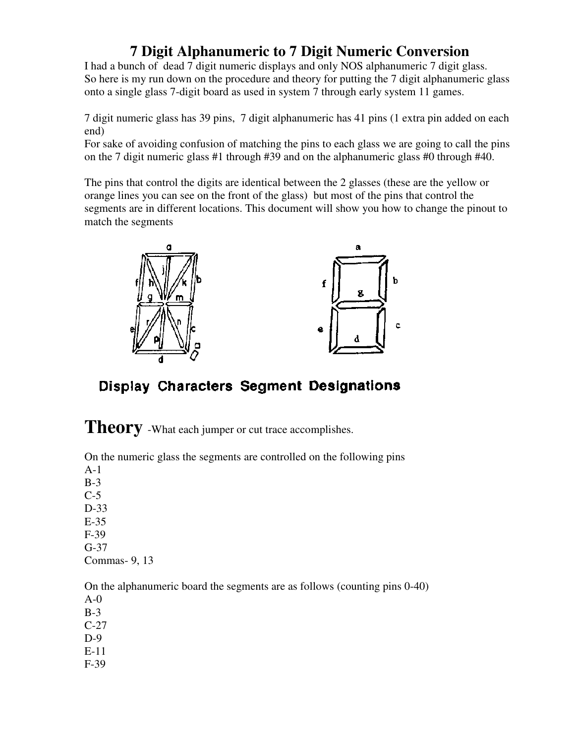## **7 Digit Alphanumeric to 7 Digit Numeric Conversion**

I had a bunch of dead 7 digit numeric displays and only NOS alphanumeric 7 digit glass. So here is my run down on the procedure and theory for putting the 7 digit alphanumeric glass onto a single glass 7-digit board as used in system 7 through early system 11 games.

7 digit numeric glass has 39 pins, 7 digit alphanumeric has 41 pins (1 extra pin added on each end)

For sake of avoiding confusion of matching the pins to each glass we are going to call the pins on the 7 digit numeric glass #1 through #39 and on the alphanumeric glass #0 through #40.

The pins that control the digits are identical between the 2 glasses (these are the yellow or orange lines you can see on the front of the glass) but most of the pins that control the segments are in different locations. This document will show you how to change the pinout to match the segments



Display Characters Segment Designations

**Theory** -What each jumper or cut trace accomplishes.

On the numeric glass the segments are controlled on the following pins A-1 B-3 C-5 D-33 E-35 F-39 G-37 Commas- 9, 13

On the alphanumeric board the segments are as follows (counting pins 0-40) A-0 B-3 C-27 D-9

- E-11
- F-39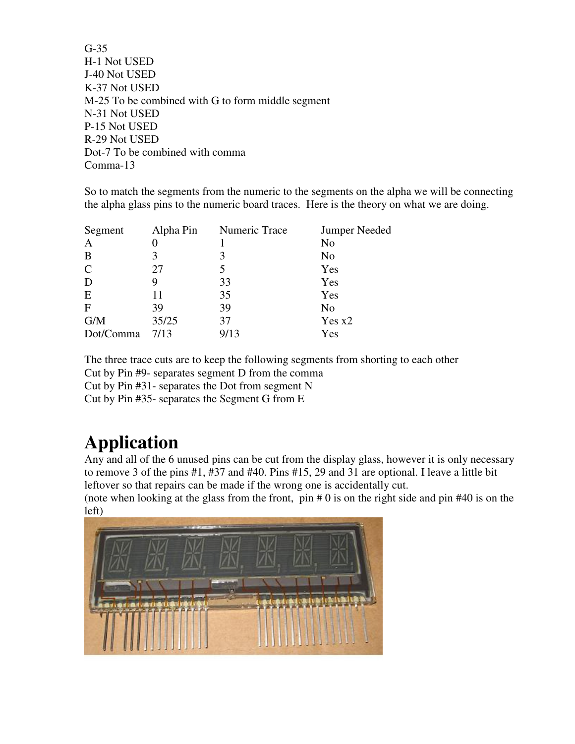G-35 H-1 Not USED J-40 Not USED K-37 Not USED M-25 To be combined with G to form middle segment N-31 Not USED P-15 Not USED R-29 Not USED Dot-7 To be combined with comma Comma-13

So to match the segments from the numeric to the segments on the alpha we will be connecting the alpha glass pins to the numeric board traces. Here is the theory on what we are doing.

| Segment      | Alpha Pin | Numeric Trace | <b>Jumper Needed</b> |
|--------------|-----------|---------------|----------------------|
| $\mathbf{A}$ |           |               | No                   |
| B            |           |               | No                   |
| $\mathbf C$  | 27        | 5             | Yes                  |
| D            | 9         | 33            | Yes                  |
| E            | 11        | 35            | Yes                  |
| $\mathbf{F}$ | 39        | 39            | No                   |
| G/M          | 35/25     | 37            | Yes $x2$             |
| Dot/Comma    | 7/13      | 9/13          | Yes                  |

The three trace cuts are to keep the following segments from shorting to each other Cut by Pin #9- separates segment D from the comma Cut by Pin #31- separates the Dot from segment N

Cut by Pin #35- separates the Segment G from E

## **Application**

Any and all of the 6 unused pins can be cut from the display glass, however it is only necessary to remove 3 of the pins #1, #37 and #40. Pins #15, 29 and 31 are optional. I leave a little bit leftover so that repairs can be made if the wrong one is accidentally cut.

(note when looking at the glass from the front,  $pin # 0$  is on the right side and pin  $#40$  is on the left)

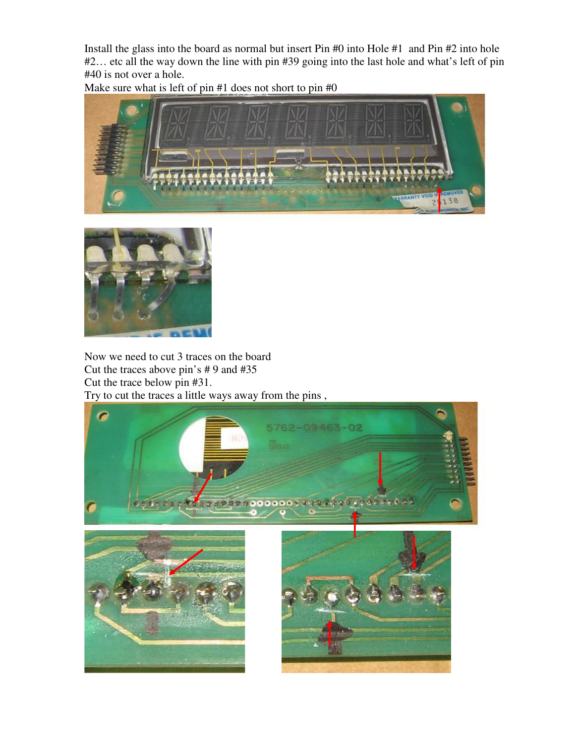Install the glass into the board as normal but insert Pin #0 into Hole #1 and Pin #2 into hole #2… etc all the way down the line with pin #39 going into the last hole and what's left of pin #40 is not over a hole.

Make sure what is left of pin #1 does not short to pin #0





Now we need to cut 3 traces on the board Cut the traces above pin's # 9 and #35 Cut the trace below pin #31. Try to cut the traces a little ways away from the pins ,

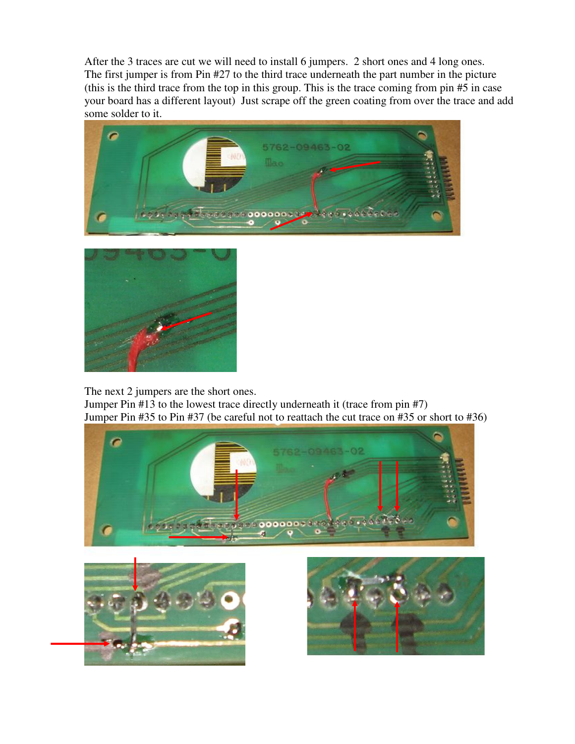After the 3 traces are cut we will need to install 6 jumpers. 2 short ones and 4 long ones. The first jumper is from Pin #27 to the third trace underneath the part number in the picture (this is the third trace from the top in this group. This is the trace coming from pin #5 in case your board has a different layout) Just scrape off the green coating from over the trace and add some solder to it.





The next 2 jumpers are the short ones.

Jumper Pin #13 to the lowest trace directly underneath it (trace from pin #7) Jumper Pin #35 to Pin #37 (be careful not to reattach the cut trace on #35 or short to #36)





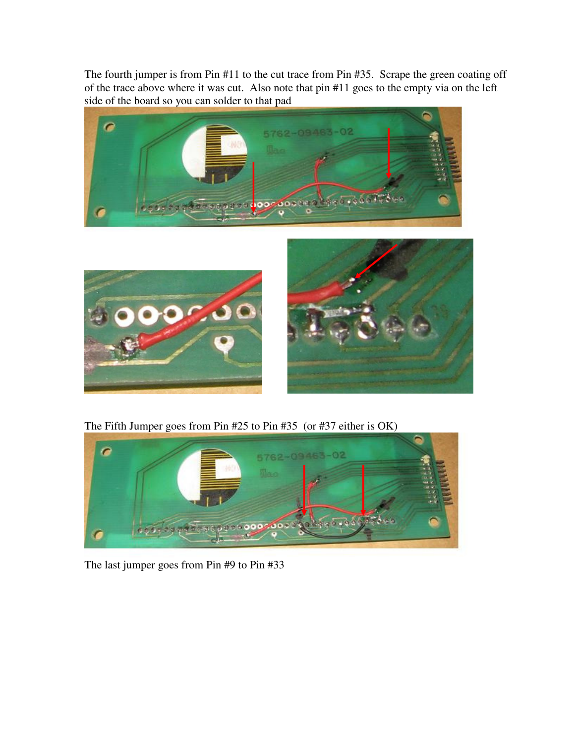The fourth jumper is from Pin #11 to the cut trace from Pin #35. Scrape the green coating off of the trace above where it was cut. Also note that pin #11 goes to the empty via on the left side of the board so you can solder to that pad





The Fifth Jumper goes from Pin #25 to Pin #35 (or #37 either is OK)



The last jumper goes from Pin #9 to Pin #33